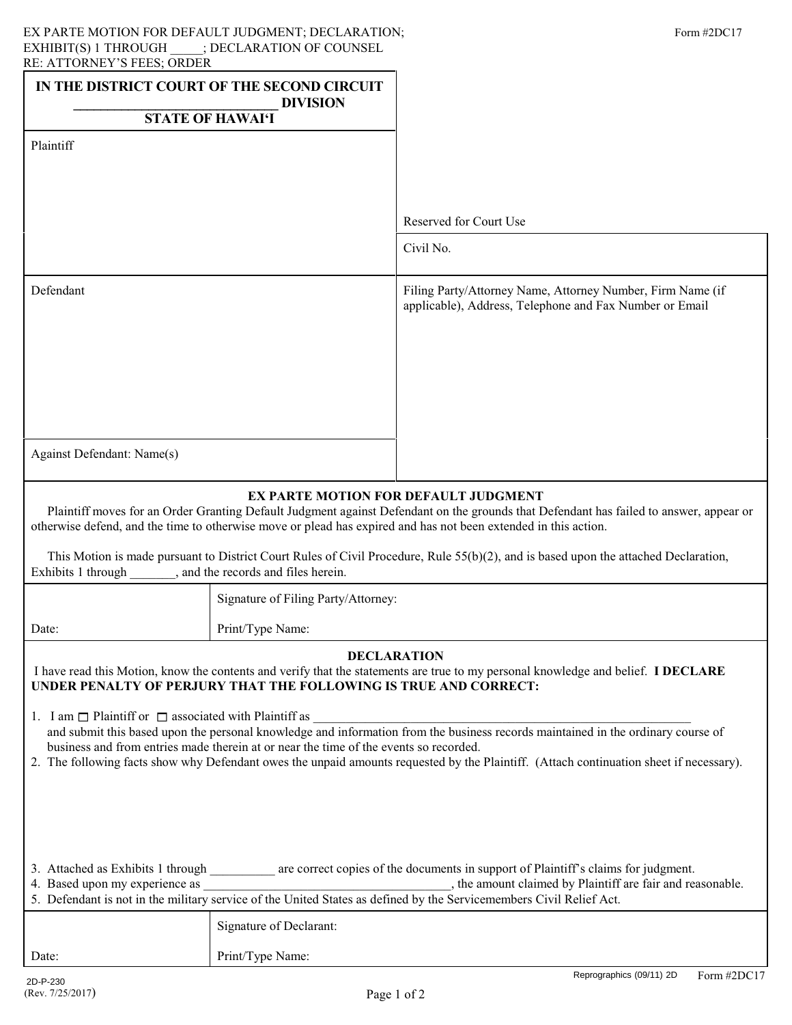| RE. ATTURNET 9 FEES, URDEN<br>IN THE DISTRICT COURT OF THE SECOND CIRCUIT<br><b>DIVISION</b><br><b>STATE OF HAWAI'I</b>                                                                                                                                                                           |                                     |                                                                                                                       |  |
|---------------------------------------------------------------------------------------------------------------------------------------------------------------------------------------------------------------------------------------------------------------------------------------------------|-------------------------------------|-----------------------------------------------------------------------------------------------------------------------|--|
| Plaintiff                                                                                                                                                                                                                                                                                         |                                     |                                                                                                                       |  |
|                                                                                                                                                                                                                                                                                                   |                                     |                                                                                                                       |  |
|                                                                                                                                                                                                                                                                                                   |                                     | Reserved for Court Use                                                                                                |  |
|                                                                                                                                                                                                                                                                                                   |                                     | Civil No.                                                                                                             |  |
| Defendant                                                                                                                                                                                                                                                                                         |                                     | Filing Party/Attorney Name, Attorney Number, Firm Name (if<br>applicable), Address, Telephone and Fax Number or Email |  |
|                                                                                                                                                                                                                                                                                                   |                                     |                                                                                                                       |  |
|                                                                                                                                                                                                                                                                                                   |                                     |                                                                                                                       |  |
|                                                                                                                                                                                                                                                                                                   |                                     |                                                                                                                       |  |
| Against Defendant: Name(s)                                                                                                                                                                                                                                                                        |                                     |                                                                                                                       |  |
| EX PARTE MOTION FOR DEFAULT JUDGMENT<br>Plaintiff moves for an Order Granting Default Judgment against Defendant on the grounds that Defendant has failed to answer, appear or<br>otherwise defend, and the time to otherwise move or plead has expired and has not been extended in this action. |                                     |                                                                                                                       |  |
| This Motion is made pursuant to District Court Rules of Civil Procedure, Rule 55(b)(2), and is based upon the attached Declaration,<br>Exhibits 1 through ________, and the records and files herein.                                                                                             |                                     |                                                                                                                       |  |
|                                                                                                                                                                                                                                                                                                   | Signature of Filing Party/Attorney: |                                                                                                                       |  |
| Date:                                                                                                                                                                                                                                                                                             | Print/Type Name:                    |                                                                                                                       |  |
| <b>DECLARATION</b><br>I have read this Motion, know the contents and verify that the statements are true to my personal knowledge and belief. I DECLARE<br>UNDER PENALTY OF PERJURY THAT THE FOLLOWING IS TRUE AND CORRECT:                                                                       |                                     |                                                                                                                       |  |

1. I am  $\Box$  Plaintiff or  $\Box$  associated with Plaintiff as  $\Box$  and submit this based upon the personal knowledge and information from the business records maintained in the ordinary course of business and from entries made therein at or near the time of the events so recorded.

2. The following facts show why Defendant owes the unpaid amounts requested by the Plaintiff. (Attach continuation sheet if necessary).

| 3. Attached as Exhibits 1 through<br>are correct copies of the documents in support of Plaintiff's claims for judgment. |  |
|-------------------------------------------------------------------------------------------------------------------------|--|
|-------------------------------------------------------------------------------------------------------------------------|--|

4. Based upon my experience as  $\blacksquare$ , the amount claimed by Plaintiff are fair and reasonable. 5. Defendant is not in the military service of the United States as defined by the Servicemembers Civil Relief Act. \_\_\_\_\_\_\_\_\_\_\_\_\_\_\_\_\_\_\_\_\_\_\_\_\_\_\_\_\_\_\_\_\_\_\_\_\_\_

| 5. Defendant is not in the military service of the United States as defined by the Servicemembers Civil Relief Act. |                         |  |
|---------------------------------------------------------------------------------------------------------------------|-------------------------|--|
|                                                                                                                     | Signature of Declarant: |  |
| Date:                                                                                                               | Print/Type Name:        |  |